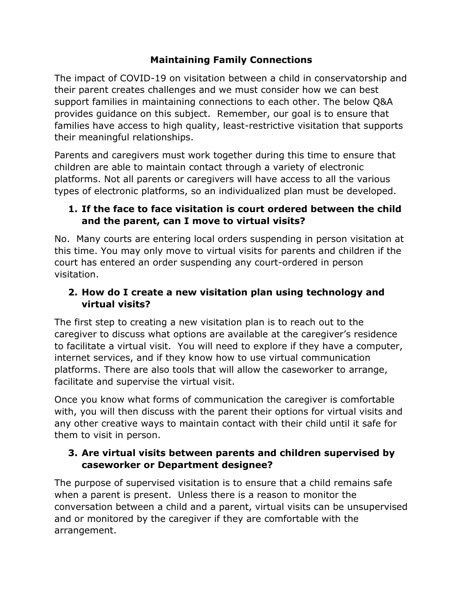## **Maintaining Family Connections**

The impact of COVID-19 on visitation between a child in conservatorship and their parent creates challenges and we must consider how we can best support families in maintaining connections to each other. The below Q&A provides guidance on this subject. Remember, our goal is to ensure that families have access to high quality, least-restrictive visitation that supports their meaningful relationships.

Parents and caregivers must work together during this time to ensure that children are able to maintain contact through a variety of electronic platforms. Not all parents or caregivers will have access to all the various types of electronic platforms, so an individualized plan must be developed.

## **1. If the face to face visitation is court ordered between the child and the parent, can I move to virtual visits?**

No. Many courts are entering local orders suspending in person visitation at this time. You may only move to virtual visits for parents and children if the court has entered an order suspending any court-ordered in person visitation.

## **2. How do I create a new visitation plan using technology and virtual visits?**

The first step to creating a new visitation plan is to reach out to the caregiver to discuss what options are available at the caregiver's residence to facilitate a virtual visit. You will need to explore if they have a computer, internet services, and if they know how to use virtual communication platforms. There are also tools that will allow the caseworker to arrange, facilitate and supervise the virtual visit.

Once you know what forms of communication the caregiver is comfortable with, you will then discuss with the parent their options for virtual visits and any other creative ways to maintain contact with their child until it safe for them to visit in person.

## **3. Are virtual visits between parents and children supervised by caseworker or Department designee?**

The purpose of supervised visitation is to ensure that a child remains safe when a parent is present. Unless there is a reason to monitor the conversation between a child and a parent, virtual visits can be unsupervised and or monitored by the caregiver if they are comfortable with the arrangement.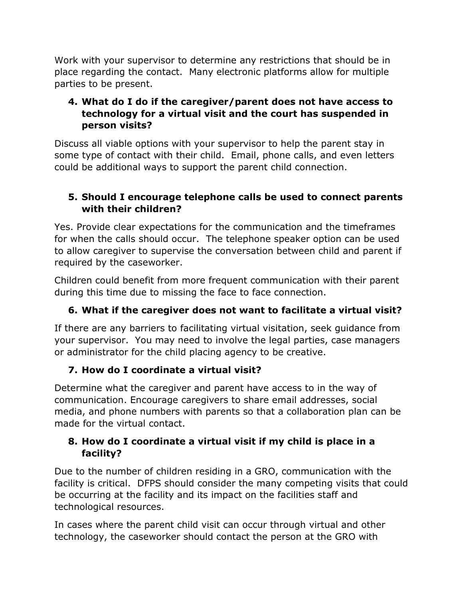Work with your supervisor to determine any restrictions that should be in place regarding the contact. Many electronic platforms allow for multiple parties to be present.

#### **4. What do I do if the caregiver/parent does not have access to technology for a virtual visit and the court has suspended in person visits?**

Discuss all viable options with your supervisor to help the parent stay in some type of contact with their child. Email, phone calls, and even letters could be additional ways to support the parent child connection.

#### **5. Should I encourage telephone calls be used to connect parents with their children?**

Yes. Provide clear expectations for the communication and the timeframes for when the calls should occur. The telephone speaker option can be used to allow caregiver to supervise the conversation between child and parent if required by the caseworker.

Children could benefit from more frequent communication with their parent during this time due to missing the face to face connection.

# **6. What if the caregiver does not want to facilitate a virtual visit?**

If there are any barriers to facilitating virtual visitation, seek guidance from your supervisor. You may need to involve the legal parties, case managers or administrator for the child placing agency to be creative.

#### **7. How do I coordinate a virtual visit?**

Determine what the caregiver and parent have access to in the way of communication. Encourage caregivers to share email addresses, social media, and phone numbers with parents so that a collaboration plan can be made for the virtual contact.

#### **8. How do I coordinate a virtual visit if my child is place in a facility?**

Due to the number of children residing in a GRO, communication with the facility is critical. DFPS should consider the many competing visits that could be occurring at the facility and its impact on the facilities staff and technological resources.

In cases where the parent child visit can occur through virtual and other technology, the caseworker should contact the person at the GRO with